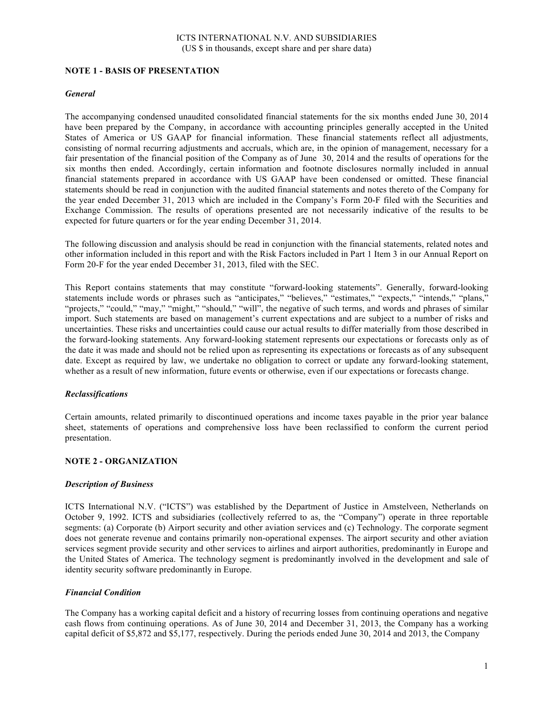# **NOTE 1 - BASIS OF PRESENTATION**

### *General*

The accompanying condensed unaudited consolidated financial statements for the six months ended June 30, 2014 have been prepared by the Company, in accordance with accounting principles generally accepted in the United States of America or US GAAP for financial information. These financial statements reflect all adjustments, consisting of normal recurring adjustments and accruals, which are, in the opinion of management, necessary for a fair presentation of the financial position of the Company as of June 30, 2014 and the results of operations for the six months then ended. Accordingly, certain information and footnote disclosures normally included in annual financial statements prepared in accordance with US GAAP have been condensed or omitted. These financial statements should be read in conjunction with the audited financial statements and notes thereto of the Company for the year ended December 31, 2013 which are included in the Company's Form 20-F filed with the Securities and Exchange Commission. The results of operations presented are not necessarily indicative of the results to be expected for future quarters or for the year ending December 31, 2014.

The following discussion and analysis should be read in conjunction with the financial statements, related notes and other information included in this report and with the Risk Factors included in Part 1 Item 3 in our Annual Report on Form 20-F for the year ended December 31, 2013, filed with the SEC.

This Report contains statements that may constitute "forward-looking statements". Generally, forward-looking statements include words or phrases such as "anticipates," "believes," "estimates," "expects," "intends," "plans," "projects," "could," "may," "might," "should," "will", the negative of such terms, and words and phrases of similar import. Such statements are based on management's current expectations and are subject to a number of risks and uncertainties. These risks and uncertainties could cause our actual results to differ materially from those described in the forward-looking statements. Any forward-looking statement represents our expectations or forecasts only as of the date it was made and should not be relied upon as representing its expectations or forecasts as of any subsequent date. Except as required by law, we undertake no obligation to correct or update any forward-looking statement, whether as a result of new information, future events or otherwise, even if our expectations or forecasts change.

#### *Reclassifications*

Certain amounts, related primarily to discontinued operations and income taxes payable in the prior year balance sheet, statements of operations and comprehensive loss have been reclassified to conform the current period presentation.

# **NOTE 2 - ORGANIZATION**

#### *Description of Business*

ICTS International N.V. ("ICTS") was established by the Department of Justice in Amstelveen, Netherlands on October 9, 1992. ICTS and subsidiaries (collectively referred to as, the "Company") operate in three reportable segments: (a) Corporate (b) Airport security and other aviation services and (c) Technology. The corporate segment does not generate revenue and contains primarily non-operational expenses. The airport security and other aviation services segment provide security and other services to airlines and airport authorities, predominantly in Europe and the United States of America. The technology segment is predominantly involved in the development and sale of identity security software predominantly in Europe.

# *Financial Condition*

The Company has a working capital deficit and a history of recurring losses from continuing operations and negative cash flows from continuing operations. As of June 30, 2014 and December 31, 2013, the Company has a working capital deficit of \$5,872 and \$5,177, respectively. During the periods ended June 30, 2014 and 2013, the Company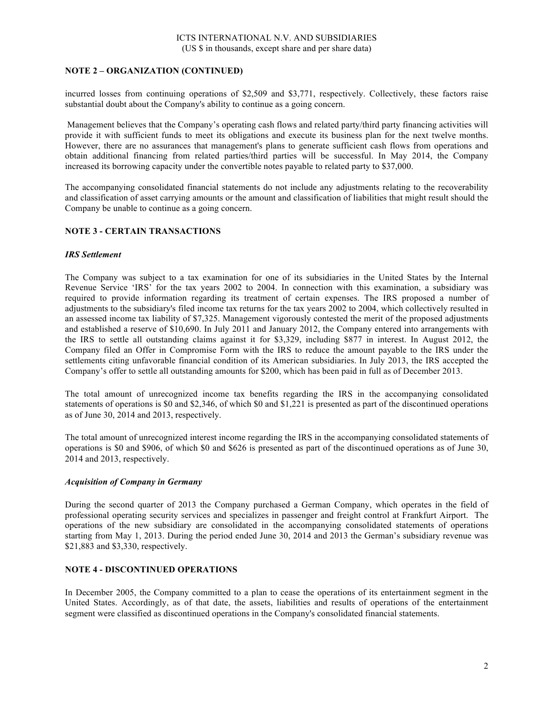# **NOTE 2 – ORGANIZATION (CONTINUED)**

incurred losses from continuing operations of \$2,509 and \$3,771, respectively. Collectively, these factors raise substantial doubt about the Company's ability to continue as a going concern.

Management believes that the Company's operating cash flows and related party/third party financing activities will provide it with sufficient funds to meet its obligations and execute its business plan for the next twelve months. However, there are no assurances that management's plans to generate sufficient cash flows from operations and obtain additional financing from related parties/third parties will be successful. In May 2014, the Company increased its borrowing capacity under the convertible notes payable to related party to \$37,000.

The accompanying consolidated financial statements do not include any adjustments relating to the recoverability and classification of asset carrying amounts or the amount and classification of liabilities that might result should the Company be unable to continue as a going concern.

# **NOTE 3 - CERTAIN TRANSACTIONS**

### *IRS Settlement*

The Company was subject to a tax examination for one of its subsidiaries in the United States by the Internal Revenue Service 'IRS' for the tax years 2002 to 2004. In connection with this examination, a subsidiary was required to provide information regarding its treatment of certain expenses. The IRS proposed a number of adjustments to the subsidiary's filed income tax returns for the tax years 2002 to 2004, which collectively resulted in an assessed income tax liability of \$7,325. Management vigorously contested the merit of the proposed adjustments and established a reserve of \$10,690. In July 2011 and January 2012, the Company entered into arrangements with the IRS to settle all outstanding claims against it for \$3,329, including \$877 in interest. In August 2012, the Company filed an Offer in Compromise Form with the IRS to reduce the amount payable to the IRS under the settlements citing unfavorable financial condition of its American subsidiaries. In July 2013, the IRS accepted the Company's offer to settle all outstanding amounts for \$200, which has been paid in full as of December 2013.

The total amount of unrecognized income tax benefits regarding the IRS in the accompanying consolidated statements of operations is \$0 and \$2,346, of which \$0 and \$1,221 is presented as part of the discontinued operations as of June 30, 2014 and 2013, respectively.

The total amount of unrecognized interest income regarding the IRS in the accompanying consolidated statements of operations is \$0 and \$906, of which \$0 and \$626 is presented as part of the discontinued operations as of June 30, 2014 and 2013, respectively.

# *Acquisition of Company in Germany*

During the second quarter of 2013 the Company purchased a German Company, which operates in the field of professional operating security services and specializes in passenger and freight control at Frankfurt Airport. The operations of the new subsidiary are consolidated in the accompanying consolidated statements of operations starting from May 1, 2013. During the period ended June 30, 2014 and 2013 the German's subsidiary revenue was \$21,883 and \$3,330, respectively.

# **NOTE 4 - DISCONTINUED OPERATIONS**

In December 2005, the Company committed to a plan to cease the operations of its entertainment segment in the United States. Accordingly, as of that date, the assets, liabilities and results of operations of the entertainment segment were classified as discontinued operations in the Company's consolidated financial statements.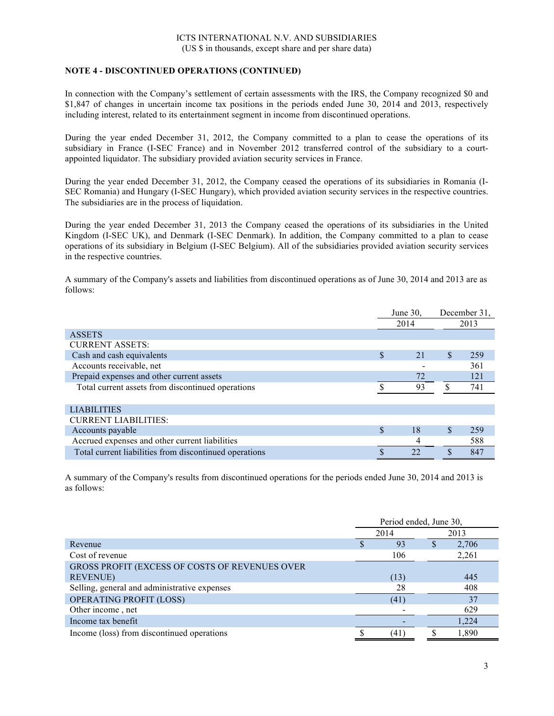# **NOTE 4 - DISCONTINUED OPERATIONS (CONTINUED)**

In connection with the Company's settlement of certain assessments with the IRS, the Company recognized \$0 and \$1,847 of changes in uncertain income tax positions in the periods ended June 30, 2014 and 2013, respectively including interest, related to its entertainment segment in income from discontinued operations.

During the year ended December 31, 2012, the Company committed to a plan to cease the operations of its subsidiary in France (I-SEC France) and in November 2012 transferred control of the subsidiary to a courtappointed liquidator. The subsidiary provided aviation security services in France.

During the year ended December 31, 2012, the Company ceased the operations of its subsidiaries in Romania (I-SEC Romania) and Hungary (I-SEC Hungary), which provided aviation security services in the respective countries. The subsidiaries are in the process of liquidation.

During the year ended December 31, 2013 the Company ceased the operations of its subsidiaries in the United Kingdom (I-SEC UK), and Denmark (I-SEC Denmark). In addition, the Company committed to a plan to cease operations of its subsidiary in Belgium (I-SEC Belgium). All of the subsidiaries provided aviation security services in the respective countries.

A summary of the Company's assets and liabilities from discontinued operations as of June 30, 2014 and 2013 are as follows:

|                                                        |             | June 30, |     | December 31. |
|--------------------------------------------------------|-------------|----------|-----|--------------|
|                                                        |             | 2014     |     | 2013         |
| <b>ASSETS</b>                                          |             |          |     |              |
| <b>CURRENT ASSETS:</b>                                 |             |          |     |              |
| Cash and cash equivalents                              | \$          | 21       | \$. | 259          |
| Accounts receivable, net                               |             |          |     | 361          |
| Prepaid expenses and other current assets              |             | 72       |     | 121          |
| Total current assets from discontinued operations      |             | 93       | \$  | 741          |
|                                                        |             |          |     |              |
| <b>LIABILITIES</b>                                     |             |          |     |              |
| <b>CURRENT LIABILITIES:</b>                            |             |          |     |              |
| Accounts payable                                       | $\mathbf S$ | 18       |     | 259          |
| Accrued expenses and other current liabilities         |             |          |     | 588          |
| Total current liabilities from discontinued operations |             | つつ       |     | 847          |

A summary of the Company's results from discontinued operations for the periods ended June 30, 2014 and 2013 is as follows:

|                                                | Period ended, June 30, |      |  |       |
|------------------------------------------------|------------------------|------|--|-------|
|                                                |                        | 2014 |  | 2013  |
| Revenue                                        |                        | 93   |  | 2,706 |
| Cost of revenue                                |                        | 106  |  | 2,261 |
| GROSS PROFIT (EXCESS OF COSTS OF REVENUES OVER |                        |      |  |       |
| <b>REVENUE)</b>                                |                        | (13) |  | 445   |
| Selling, general and administrative expenses   |                        | 28   |  | 408   |
| <b>OPERATING PROFIT (LOSS)</b>                 |                        | (41) |  | 37    |
| Other income, net                              |                        |      |  | 629   |
| Income tax benefit                             |                        |      |  | 1.224 |
| Income (loss) from discontinued operations     |                        | (41  |  | 1.890 |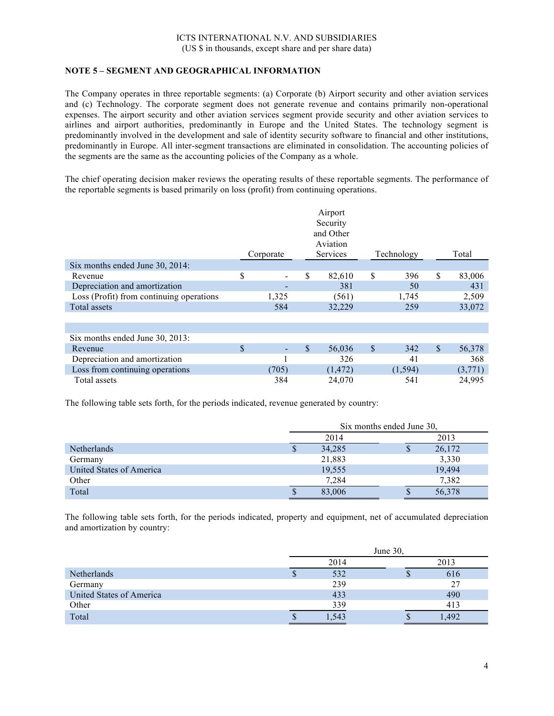# **NOTE 5 – SEGMENT AND GEOGRAPHICAL INFORMATION**

The Company operates in three reportable segments: (a) Corporate (b) Airport security and other aviation services and (c) Technology. The corporate segment does not generate revenue and contains primarily non-operational expenses. The airport security and other aviation services segment provide security and other aviation services to airlines and airport authorities, predominantly in Europe and the United States. The technology segment is predominantly involved in the development and sale of identity security software to financial and other institutions, predominantly in Europe. All inter-segment transactions are eliminated in consolidation. The accounting policies of the segments are the same as the accounting policies of the Company as a whole.

The chief operating decision maker reviews the operating results of these reportable segments. The performance of the reportable segments is based primarily on loss (profit) from continuing operations.

|                                          |              | Corporate |              | Airport<br>Security<br>and Other<br>Aviation<br><b>Services</b> | Technology |               | Total   |
|------------------------------------------|--------------|-----------|--------------|-----------------------------------------------------------------|------------|---------------|---------|
| Six months ended June $30, 2014$ :       |              |           |              |                                                                 |            |               |         |
| Revenue                                  | S            |           | \$           | 82,610                                                          | \$<br>396  | <sup>\$</sup> | 83,006  |
| Depreciation and amortization            |              |           |              | 381                                                             | 50         |               | 431     |
| Loss (Profit) from continuing operations |              | 1,325     |              | (561)                                                           | 1,745      |               | 2,509   |
| Total assets                             |              | 584       |              | 32,229                                                          | 259        |               | 33,072  |
|                                          |              |           |              |                                                                 |            |               |         |
|                                          |              |           |              |                                                                 |            |               |         |
| Six months ended June 30, 2013:          |              |           |              |                                                                 |            |               |         |
| Revenue                                  | $\mathbb{S}$ |           | $\mathbb{S}$ | 56,036                                                          | \$<br>342  | $\mathbb{S}$  | 56,378  |
| Depreciation and amortization            |              |           |              | 326                                                             | 41         |               | 368     |
| Loss from continuing operations          |              | (705)     |              | (1, 472)                                                        | (1, 594)   |               | (3,771) |
| Total assets                             |              | 384       |              | 24,070                                                          | 541        |               | 24,995  |

The following table sets forth, for the periods indicated, revenue generated by country:

|                          |   | Six months ended June 30, |   |        |  |
|--------------------------|---|---------------------------|---|--------|--|
|                          |   | 2014                      |   | 2013   |  |
| <b>Netherlands</b>       | S | 34,285                    | J | 26,172 |  |
| Germany                  |   | 21,883                    |   | 3,330  |  |
| United States of America |   | 19,555                    |   | 19,494 |  |
| Other                    |   | 7.284                     |   | 7,382  |  |
| Total                    | S | 83,006                    | J | 56,378 |  |

The following table sets forth, for the periods indicated, property and equipment, net of accumulated depreciation and amortization by country:

|                          | June $30$ , |      |    |      |
|--------------------------|-------------|------|----|------|
|                          | 2014        |      |    | 2013 |
| Netherlands              | Φ           | 532  | Φ  | 616  |
| Germany                  |             | 239  |    | 27   |
| United States of America |             | 433  |    | 490  |
| Other                    |             | 339  |    | 413  |
| Total                    | P           | .54? | ٨D | .492 |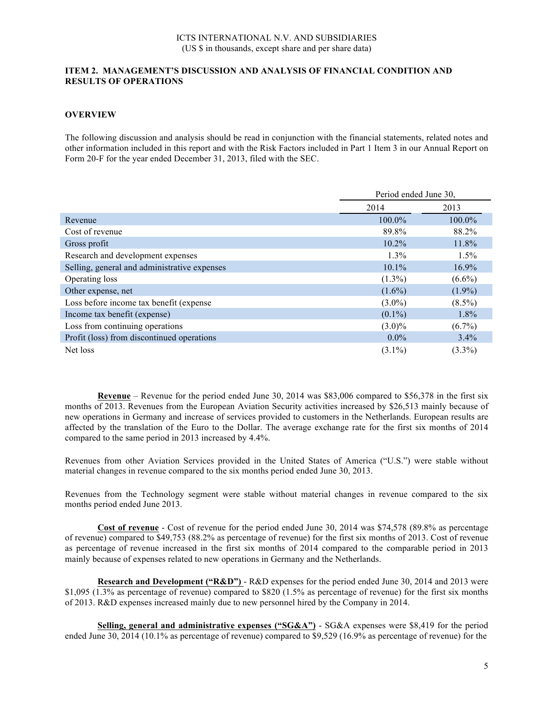### **ITEM 2. MANAGEMENT'S DISCUSSION AND ANALYSIS OF FINANCIAL CONDITION AND RESULTS OF OPERATIONS**

### **OVERVIEW**

The following discussion and analysis should be read in conjunction with the financial statements, related notes and other information included in this report and with the Risk Factors included in Part 1 Item 3 in our Annual Report on Form 20-F for the year ended December 31, 2013, filed with the SEC.

|                                              | Period ended June 30, |           |  |
|----------------------------------------------|-----------------------|-----------|--|
|                                              | 2014                  | 2013      |  |
| Revenue                                      | $100.0\%$             | $100.0\%$ |  |
| Cost of revenue                              | 89.8%                 | 88.2%     |  |
| Gross profit                                 | $10.2\%$              | 11.8%     |  |
| Research and development expenses            | $1.3\%$               | $1.5\%$   |  |
| Selling, general and administrative expenses | $10.1\%$              | $16.9\%$  |  |
| Operating loss                               | $(1.3\%)$             | $(6.6\%)$ |  |
| Other expense, net                           | $(1.6\%)$             | $(1.9\%)$ |  |
| Loss before income tax benefit (expense)     | $(3.0\%)$             | $(8.5\%)$ |  |
| Income tax benefit (expense)                 | $(0.1\%)$             | $1.8\%$   |  |
| Loss from continuing operations              | $(3.0)\%$             | $(6.7\%)$ |  |
| Profit (loss) from discontinued operations   | $0.0\%$               | $3.4\%$   |  |
| Net loss                                     | $(3.1\%)$             | $(3.3\%)$ |  |

**Revenue** – Revenue for the period ended June 30, 2014 was \$83,006 compared to \$56,378 in the first six months of 2013. Revenues from the European Aviation Security activities increased by \$26,513 mainly because of new operations in Germany and increase of services provided to customers in the Netherlands. European results are affected by the translation of the Euro to the Dollar. The average exchange rate for the first six months of 2014 compared to the same period in 2013 increased by 4.4%.

Revenues from other Aviation Services provided in the United States of America ("U.S.") were stable without material changes in revenue compared to the six months period ended June 30, 2013.

Revenues from the Technology segment were stable without material changes in revenue compared to the six months period ended June 2013.

**Cost of revenue** - Cost of revenue for the period ended June 30, 2014 was \$74,578 (89.8% as percentage of revenue) compared to \$49,753 (88.2% as percentage of revenue) for the first six months of 2013. Cost of revenue as percentage of revenue increased in the first six months of 2014 compared to the comparable period in 2013 mainly because of expenses related to new operations in Germany and the Netherlands.

**Research and Development ("R&D")** - R&D expenses for the period ended June 30, 2014 and 2013 were \$1,095 (1.3% as percentage of revenue) compared to \$820 (1.5% as percentage of revenue) for the first six months of 2013. R&D expenses increased mainly due to new personnel hired by the Company in 2014.

**Selling, general and administrative expenses ("SG&A")** - SG&A expenses were \$8,419 for the period ended June 30, 2014 (10.1% as percentage of revenue) compared to \$9,529 (16.9% as percentage of revenue) for the